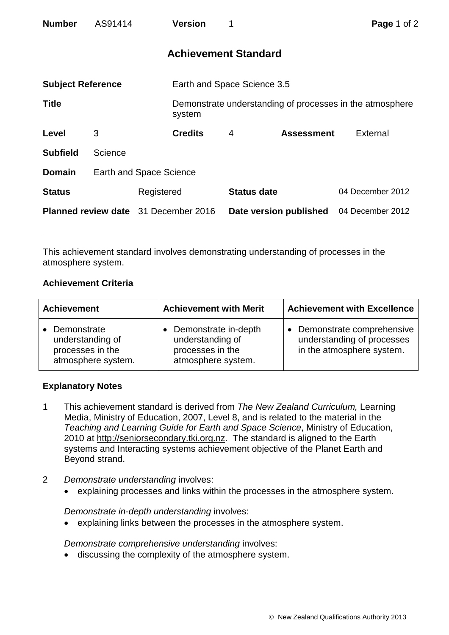| <b>Number</b>                               | AS91414 |                                | <b>Version</b>              | 1                      |                   | Page 1 of 2                                              |  |
|---------------------------------------------|---------|--------------------------------|-----------------------------|------------------------|-------------------|----------------------------------------------------------|--|
|                                             |         |                                | <b>Achievement Standard</b> |                        |                   |                                                          |  |
| <b>Subject Reference</b>                    |         |                                | Earth and Space Science 3.5 |                        |                   |                                                          |  |
| <b>Title</b>                                |         |                                | system                      |                        |                   | Demonstrate understanding of processes in the atmosphere |  |
| Level                                       | 3       |                                | <b>Credits</b>              | 4                      | <b>Assessment</b> | External                                                 |  |
| <b>Subfield</b>                             | Science |                                |                             |                        |                   |                                                          |  |
| <b>Domain</b>                               |         | <b>Earth and Space Science</b> |                             |                        |                   |                                                          |  |
| <b>Status</b>                               |         | Registered                     |                             | <b>Status date</b>     |                   | 04 December 2012                                         |  |
| <b>Planned review date</b> 31 December 2016 |         |                                |                             | Date version published |                   | 04 December 2012                                         |  |

This achievement standard involves demonstrating understanding of processes in the atmosphere system.

## **Achievement Criteria**

| <b>Achievement</b>                                                                     | <b>Achievement with Merit</b>                                                      | <b>Achievement with Excellence</b>                                                     |  |
|----------------------------------------------------------------------------------------|------------------------------------------------------------------------------------|----------------------------------------------------------------------------------------|--|
| Demonstrate<br>$\bullet$<br>understanding of<br>processes in the<br>atmosphere system. | Demonstrate in-depth<br>understanding of<br>processes in the<br>atmosphere system. | • Demonstrate comprehensive<br>understanding of processes<br>in the atmosphere system. |  |

## **Explanatory Notes**

- 1 This achievement standard is derived from *The New Zealand Curriculum,* Learning Media, Ministry of Education, 2007, Level 8, and is related to the material in the *Teaching and Learning Guide for Earth and Space Science*, Ministry of Education, 2010 at http://seniorsecondary.tki.org.nz. The standard is aligned to the Earth systems and Interacting systems achievement objective of the Planet Earth and Beyond strand.
- 2 *Demonstrate understanding* involves:
	- explaining processes and links within the processes in the atmosphere system.

## *Demonstrate in-depth understanding* involves:

• explaining links between the processes in the atmosphere system.

*Demonstrate comprehensive understanding* involves:

discussing the complexity of the atmosphere system.